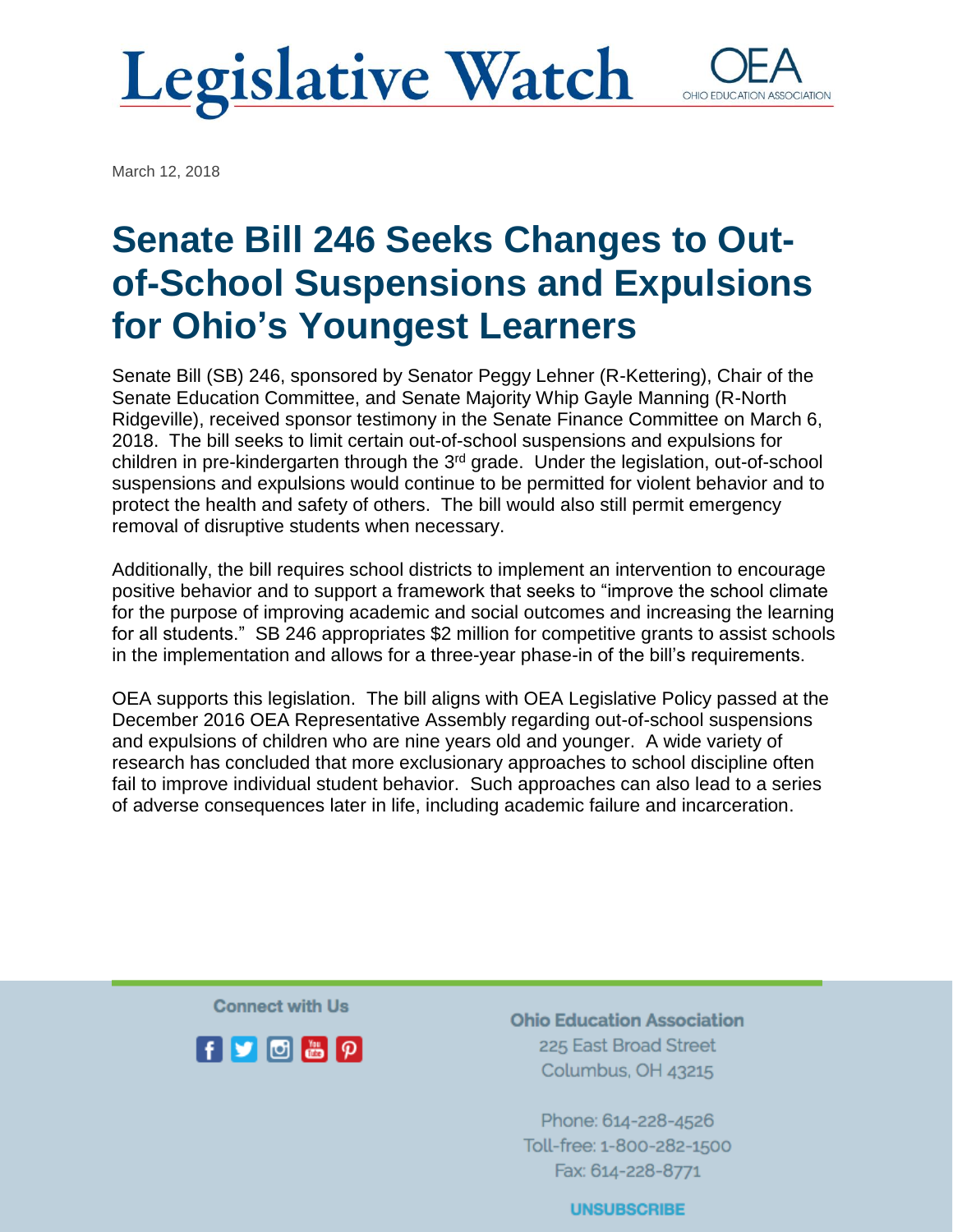### **Legislative Watch** OHIO EDUCATI

March 12, 2018

# Senate Bill 246 Seeks Changes to Outof-School Suspensions and Expulsions for Ohio's Youngest Learners

Senate Bill (SB) 246, sponsored by Senator Peggy Lehner (R-Kettering), Chair of the Senate Education Committee, and Senate Majority Whip Gayle Manning (R-North Ridgeville), received sponsor testimony in the Senate Finance Committee on March 6, 2018. The bill seeks to limit certain out-of-school suspensions and expulsions for children in pre-kindergarten through the 3<sup>rd</sup> grade. Under the legislation, out-of-school suspensions and expulsions would continue to be permitted for violent behavior and to protect the health and safety of others. The bill would also still permit emergency removal of disruptive students when necessary.

Additionally, the bill requires school districts to implement an intervention to encourage positive behavior and to support a framework that seeks to "improve the school climate for the purpose of improving academic and social outcomes and increasing the learning for all students." SB 246 appropriates \$2 million for competitive grants to assist schools in the implementation and allows for a three-year phase-in of the bill's requirements.

OEA supports this legislation. The bill aligns with OEA Legislative Policy passed at the December 2016 OEA Representative Assembly regarding out-of-school suspensions and expulsions of children who are nine years old and younger. A wide variety of research has concluded that more exclusionary approaches to school discipline often fail to improve individual student behavior. Such approaches can also lead to a series of adverse consequences later in life, including academic failure and incarceration.

**Connect with Us** 



**Ohio Education Association** 225 East Broad Street Columbus, OH 43215

Phone: 614-228-4526 Toll-free: 1-800-282-1500 Fax: 614-228-8771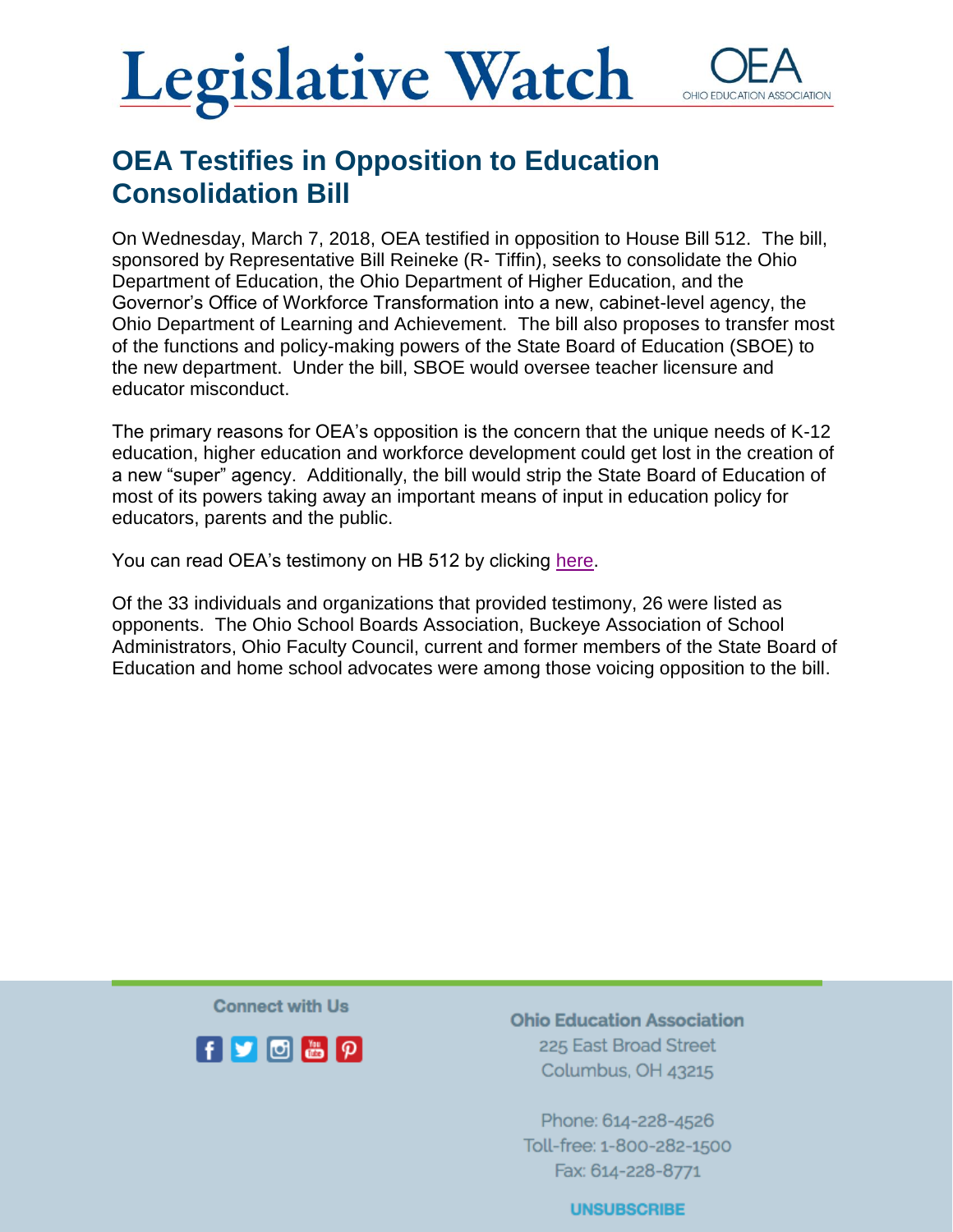### **Legislative Watch** OHIO FDUCATI

### OEA Testifies in Opposition to Education Consolidation Bill

On Wednesday, March 7, 2018, OEA testified in opposition to House Bill 512. The bill, sponsored by Representative Bill Reineke (R- Tiffin), seeks to consolidate the Ohio Department of Education, the Ohio Department of Higher Education, and the Governor's Office of Workforce Transformation into a new, cabinet-level agency, the Ohio Department of Learning and Achievement. The bill also proposes to transfer most of the functions and policy-making powers of the State Board of Education (SBOE) to the new department. Under the bill, SBOE would oversee teacher licensure and educator misconduct.

The primary reasons for OEA's opposition is the concern that the unique needs of K-12 education, higher education and workforce development could get lost in the creation of a new "super" agency. Additionally, the bill would strip the State Board of Education of most of its powers taking away an important means of input in education policy for educators, parents and the public.

You can read OEA's testimony on HB 512 by clicking [here.](https://www.ohea.org/cms/assets/uploads/2018/03/HB-512-testimony.pdf)

Of the 33 individuals and organizations that provided testimony, 26 were listed as opponents. The Ohio School Boards Association, Buckeye Association of School Administrators, Ohio Faculty Council, current and former members of the State Board of Education and home school advocates were among those voicing opposition to the bill.

**Connect with Us** 



**Ohio Education Association** 225 East Broad Street Columbus, OH 43215

Phone: 614-228-4526 Toll-free: 1-800-282-1500 Fax: 614-228-8771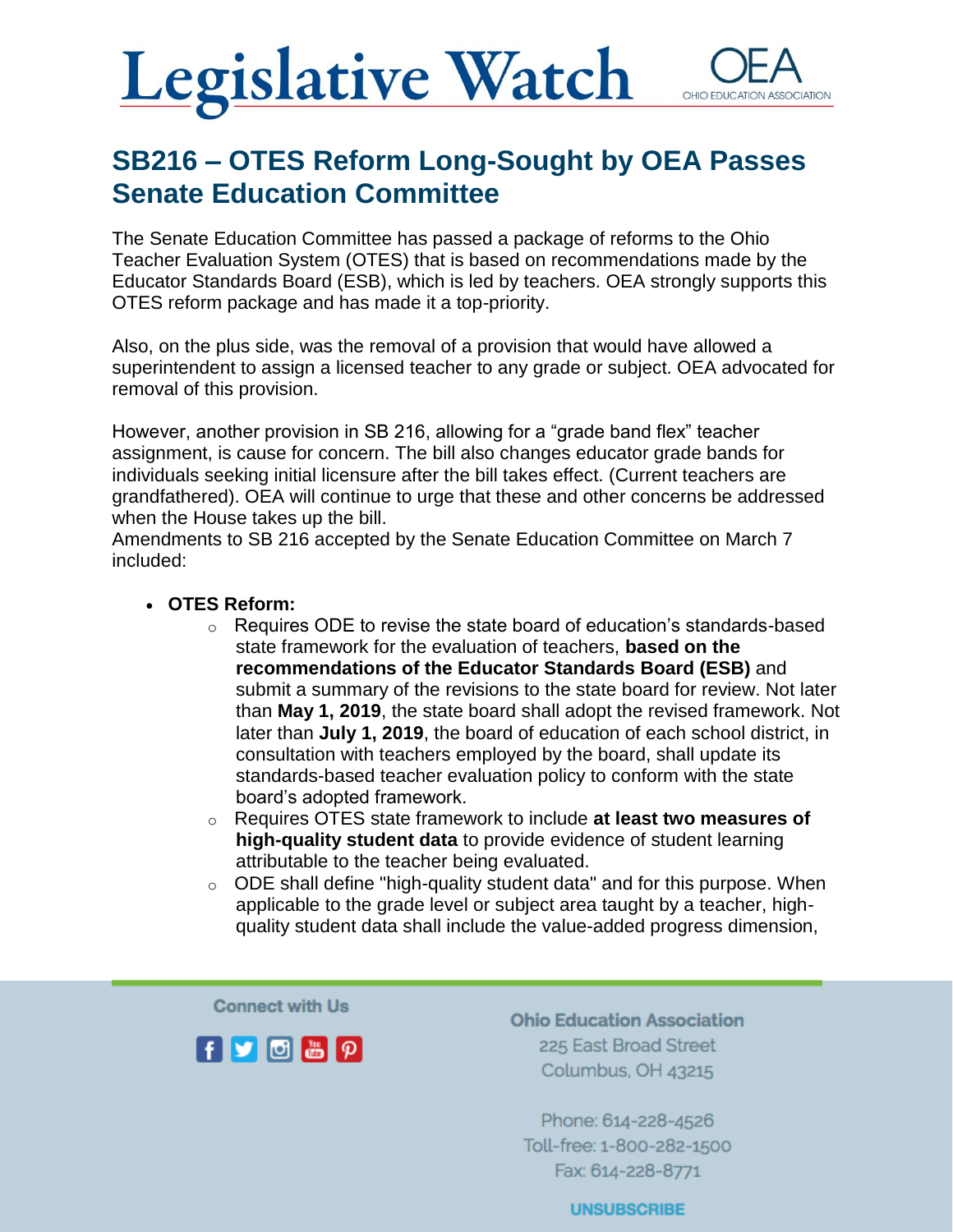## **Legislative Watch** OHIO EDUCATI

### SB216 – OTES Reform Long-Sought by OEA Passes Senate Education Committee

The Senate Education Committee has passed a package of reforms to the Ohio Teacher Evaluation System (OTES) that is based on recommendations made by the Educator Standards Board (ESB), which is led by teachers. OEA strongly supports this OTES reform package and has made it a top-priority.

Also, on the plus side, was the removal of a provision that would have allowed a superintendent to assign a licensed teacher to any grade or subject. OEA advocated for removal of this provision.

However, another provision in SB 216, allowing for a "grade band flex" teacher assignment, is cause for concern. The bill also changes educator grade bands for individuals seeking initial licensure after the bill takes effect. (Current teachers are grandfathered). OEA will continue to urge that these and other concerns be addressed when the House takes up the bill.

Amendments to SB 216 accepted by the Senate Education Committee on March 7 included:

#### • **OTES Reform:**

- $\circ$  Requires ODE to revise the state board of education's standards-based state framework for the evaluation of teachers, **based on the recommendations of the Educator Standards Board (ESB)** and submit a summary of the revisions to the state board for review. Not later than **May 1, 2019**, the state board shall adopt the revised framework. Not later than **July 1, 2019**, the board of education of each school district, in consultation with teachers employed by the board, shall update its standards-based teacher evaluation policy to conform with the state board's adopted framework.
- o Requires OTES state framework to include **at least two measures of high-quality student data** to provide evidence of student learning attributable to the teacher being evaluated.
- $\circ$  ODE shall define "high-quality student data" and for this purpose. When applicable to the grade level or subject area taught by a teacher, highquality student data shall include the value-added progress dimension,

**Connect with Us** 



**Ohio Education Association** 225 East Broad Street Columbus, OH 43215

Phone: 614-228-4526 Toll-free: 1-800-282-1500 Fax: 614-228-8771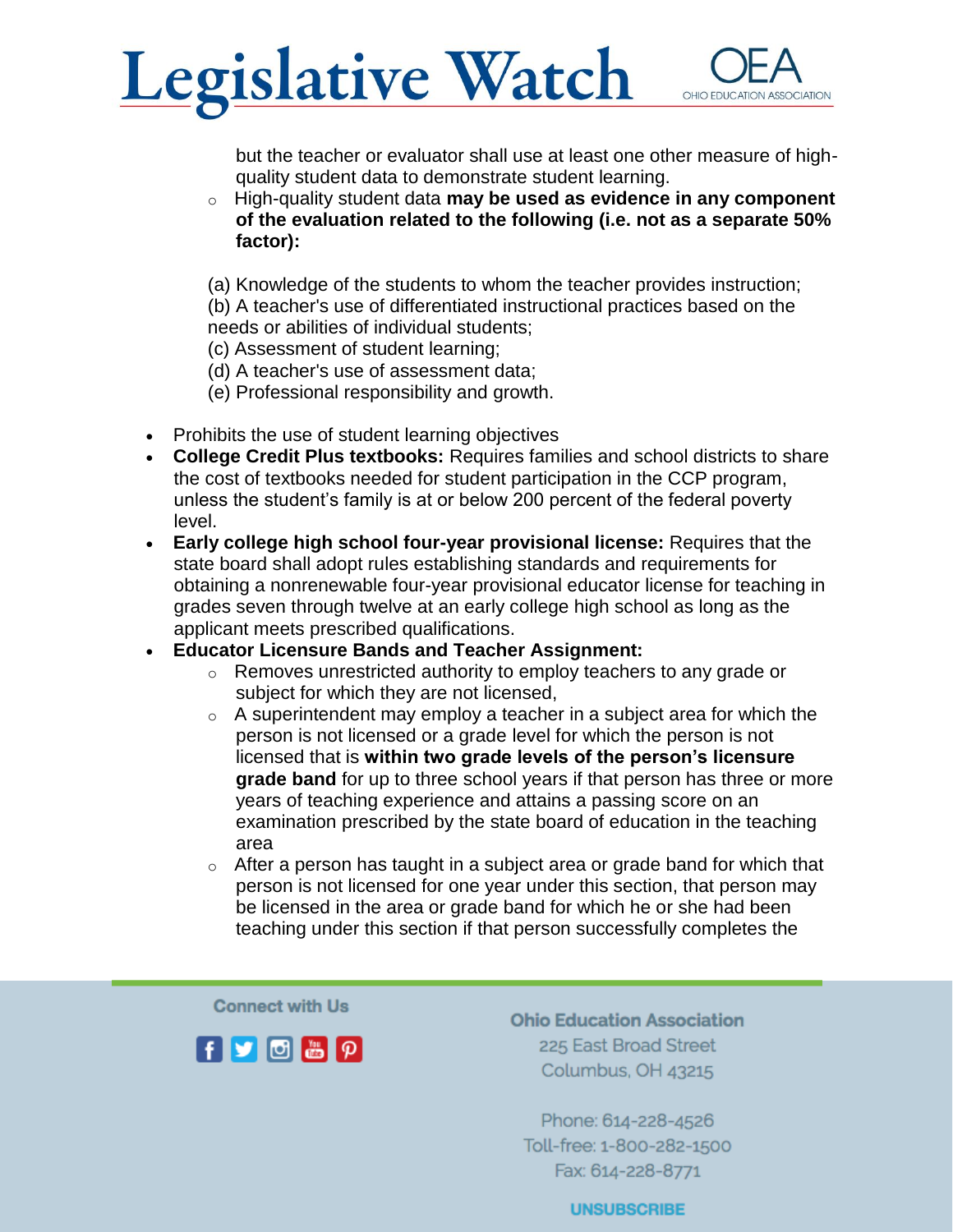

but the teacher or evaluator shall use at least one other measure of highquality student data to demonstrate student learning.

o High-quality student data **may be used as evidence in any component of the evaluation related to the following (i.e. not as a separate 50% factor):**

(a) Knowledge of the students to whom the teacher provides instruction; (b) A teacher's use of differentiated instructional practices based on the needs or abilities of individual students;

- (c) Assessment of student learning;
- (d) A teacher's use of assessment data;
- (e) Professional responsibility and growth.
- Prohibits the use of student learning objectives
- **College Credit Plus textbooks:** Requires families and school districts to share the cost of textbooks needed for student participation in the CCP program, unless the student's family is at or below 200 percent of the federal poverty level.
- **Early college high school four-year provisional license:** Requires that the state board shall adopt rules establishing standards and requirements for obtaining a nonrenewable four-year provisional educator license for teaching in grades seven through twelve at an early college high school as long as the applicant meets prescribed qualifications.
- **Educator Licensure Bands and Teacher Assignment:**
	- o Removes unrestricted authority to employ teachers to any grade or subject for which they are not licensed,
	- $\circ$  A superintendent may employ a teacher in a subject area for which the person is not licensed or a grade level for which the person is not licensed that is **within two grade levels of the person's licensure grade band** for up to three school years if that person has three or more years of teaching experience and attains a passing score on an examination prescribed by the state board of education in the teaching area
	- $\circ$  After a person has taught in a subject area or grade band for which that person is not licensed for one year under this section, that person may be licensed in the area or grade band for which he or she had been teaching under this section if that person successfully completes the

**Connect with Us** 



**Ohio Education Association** 225 East Broad Street Columbus, OH 43215

Phone: 614-228-4526 Toll-free: 1-800-282-1500 Fax: 614-228-8771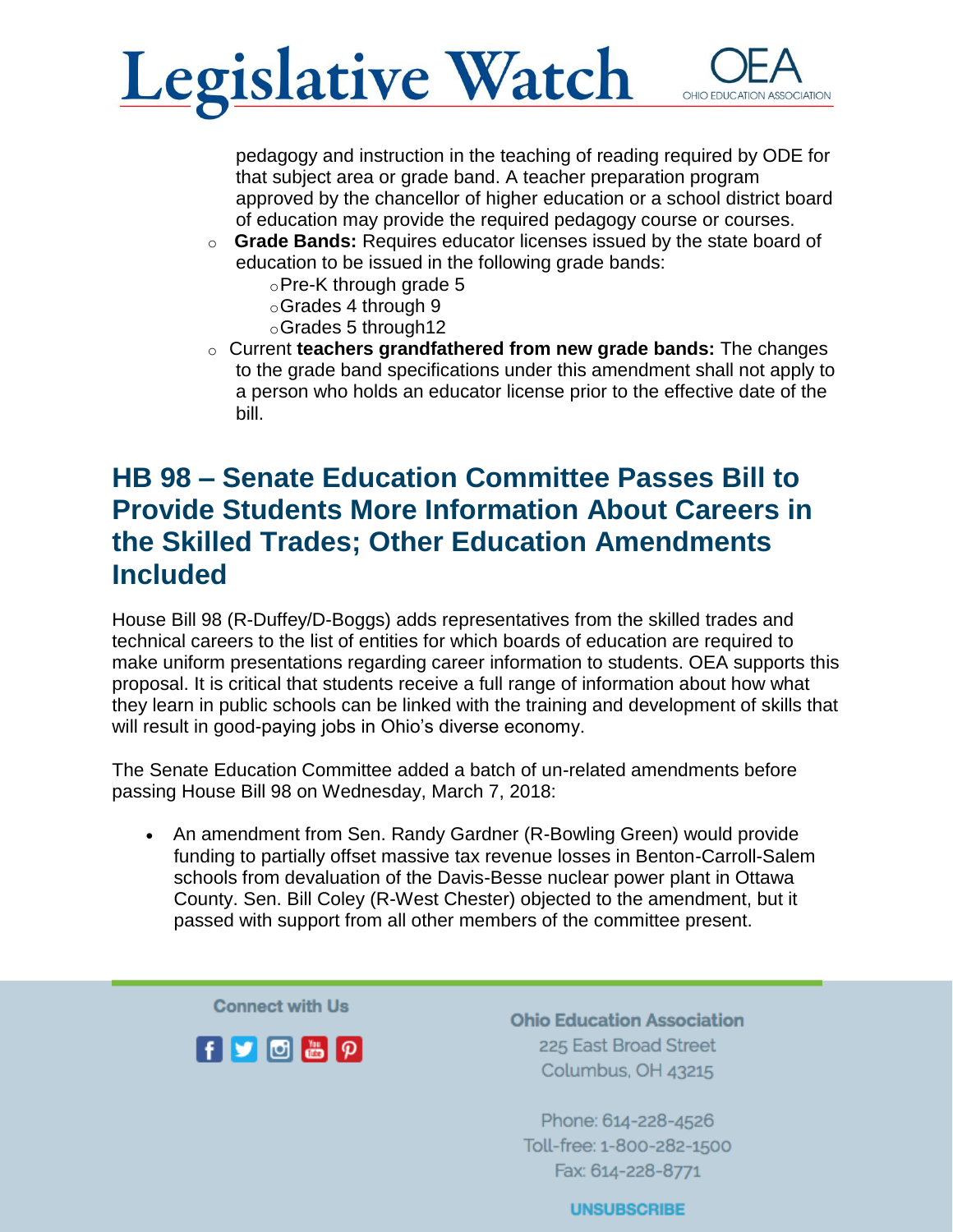

pedagogy and instruction in the teaching of reading required by ODE for that subject area or grade band. A teacher preparation program approved by the chancellor of higher education or a school district board of education may provide the required pedagogy course or courses.

- o **Grade Bands:** Requires educator licenses issued by the state board of education to be issued in the following grade bands:
	- oPre-K through grade 5
	- oGrades 4 through 9
	- oGrades 5 through12
- o Current **teachers grandfathered from new grade bands:** The changes to the grade band specifications under this amendment shall not apply to a person who holds an educator license prior to the effective date of the bill.

#### HB 98 – Senate Education Committee Passes Bill to Provide Students More Information About Careers in the Skilled Trades; Other Education Amendments Included

House Bill 98 (R-Duffey/D-Boggs) adds representatives from the skilled trades and technical careers to the list of entities for which boards of education are required to make uniform presentations regarding career information to students. OEA supports this proposal. It is critical that students receive a full range of information about how what they learn in public schools can be linked with the training and development of skills that will result in good-paying jobs in Ohio's diverse economy.

The Senate Education Committee added a batch of un-related amendments before passing House Bill 98 on Wednesday, March 7, 2018:

• An amendment from Sen. Randy Gardner (R-Bowling Green) would provide funding to partially offset massive tax revenue losses in Benton-Carroll-Salem schools from devaluation of the Davis-Besse nuclear power plant in Ottawa County. Sen. Bill Coley (R-West Chester) objected to the amendment, but it passed with support from all other members of the committee present.

**Connect with Us** 



**Ohio Education Association** 225 East Broad Street Columbus, OH 43215

Phone: 614-228-4526 Toll-free: 1-800-282-1500 Fax: 614-228-8771